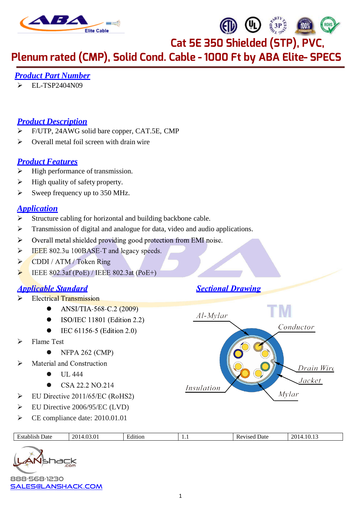

Plenum rated (CMP), Solid Cond. Cable - 1000 Ft by ABA Elite- SPECS

# *Product Part Number*

EL-TSP2404N09

# *Product Description*

- F/UTP, 24AWG solid bare copper, CAT.5E, CMP
- $\triangleright$  Overall metal foil screen with drain wire

# *Product Features*

- $\triangleright$  High performance of transmission.
- $\triangleright$  High quality of safety property.
- $\triangleright$  Sweep frequency up to 350 MHz.

#### *Application*

- $\triangleright$  Structure cabling for horizontal and building backbone cable.
- $\triangleright$  Transmission of digital and analogue for data, video and audio applications.
- $\blacktriangleright$ Overall metal shielded providing good protection from EMI noise.
- IEEE 802.3u 100BASE-T and legacy speeds.  $\blacktriangleright$
- $\blacktriangleright$ CDDI / ATM / Token Ring
- $\blacktriangleright$ IEEE 802.3af (PoE) / IEEE 802.3at (PoE+)

# **Applicable Standard**

- **Electrical Transmission**  $\triangleright$ 
	- ANSI/TIA-568-C.2 (2009)  $\bullet$
	- ISO/IEC 11801 (Edition 2.2)
	- IEC 61156-5 (Edition 2.0)
- **Flame Test**  $\blacktriangleright$ 
	- **NFPA 262 (CMP)**
- $\blacktriangleright$ Material and Construction
	- $\bullet$ **UL 444**
	- CSA 22.2 NO.214
- EU Directive 2011/65/EC (RoHS2)  $\blacktriangleright$
- EU Directive 2006/95/EC (LVD)
- CE compliance date: 2010.01.01

| Date<br>. | $\sim$<br>$\sim$<br>$\gamma$<br>. ۹ | . .<br>™tion | . | Date<br>n. | ാവം.<br>$\sim$ |
|-----------|-------------------------------------|--------------|---|------------|----------------|

888-568-1230 [sales@lanshack.com](mailto:sales@lanshack.com) 

**Sectional Drawing** 

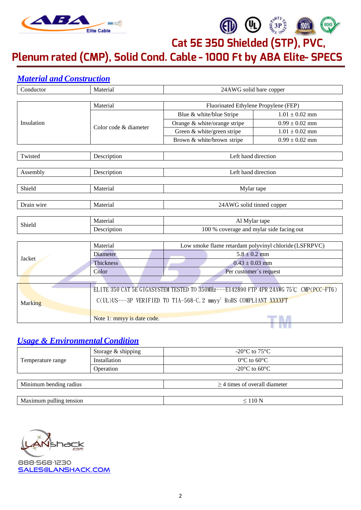

ROHS

Plenum rated (CMP), Solid Cond. Cable - 1000 Ft by ABA Elite- SPECS

# *Material and Construction*

| Conductor  | Material                                                                               | 24AWG solid bare copper                                |                    |  |  |  |
|------------|----------------------------------------------------------------------------------------|--------------------------------------------------------|--------------------|--|--|--|
|            |                                                                                        |                                                        |                    |  |  |  |
| Insulation | Material                                                                               | Fluorinated Ethylene Propylene (FEP)                   |                    |  |  |  |
|            |                                                                                        | Blue & white/blue Stripe                               | $1.01 \pm 0.02$ mm |  |  |  |
|            | Color code & diameter                                                                  | Orange & white/orange stripe                           | $0.99 \pm 0.02$ mm |  |  |  |
|            |                                                                                        | Green & white/green stripe                             | $1.01 \pm 0.02$ mm |  |  |  |
|            |                                                                                        | Brown & white/brown stripe                             | $0.99 \pm 0.02$ mm |  |  |  |
|            |                                                                                        |                                                        |                    |  |  |  |
| Twisted    | Description                                                                            | Left hand direction                                    |                    |  |  |  |
|            |                                                                                        |                                                        |                    |  |  |  |
| Assembly   | Description                                                                            | Left hand direction                                    |                    |  |  |  |
|            |                                                                                        |                                                        |                    |  |  |  |
| Shield     | Material                                                                               | Mylar tape                                             |                    |  |  |  |
| Drain wire | Material                                                                               | 24AWG solid tinned copper                              |                    |  |  |  |
|            |                                                                                        |                                                        |                    |  |  |  |
|            | Material                                                                               | Al Mylar tape                                          |                    |  |  |  |
| Shield     | Description                                                                            | 100 % coverage and mylar side facing out               |                    |  |  |  |
|            |                                                                                        |                                                        |                    |  |  |  |
|            | Material                                                                               | Low smoke flame retardant polyvinyl chloride (LSFRPVC) |                    |  |  |  |
| Jacket     | Diameter                                                                               | $5.8 \pm 0.2$ mm                                       |                    |  |  |  |
|            | <b>Thickness</b>                                                                       | $0.43 \pm 0.03$ mm                                     |                    |  |  |  |
|            | Color                                                                                  | Per customer's request                                 |                    |  |  |  |
|            |                                                                                        |                                                        |                    |  |  |  |
|            | ELITE 350 CAT 5E GIGASYSTEM TESTED TO 350MHz---E142890 FTP 4PR 24AWG 75°C CMP(PCC-FT6) |                                                        |                    |  |  |  |
|            | C(UL)US---3P VERIFIED TO TIA-568-C. 2 mmyy <sup>1</sup> RoHS COMPLIANT XXXXFT          |                                                        |                    |  |  |  |
| Marking    |                                                                                        |                                                        |                    |  |  |  |
|            | Note 1: mmyy is date code.                                                             |                                                        |                    |  |  |  |
|            |                                                                                        |                                                        |                    |  |  |  |

# *Usage & Environmental Condition*

|                         | Storage & shipping | -20 $\rm{^{\circ}C}$ to 75 $\rm{^{\circ}C}$ |
|-------------------------|--------------------|---------------------------------------------|
| Temperature range       | Installation       | $0^{\circ}$ C to 60 $^{\circ}$ C            |
|                         | Operation          | $-20^{\circ}$ C to 60 $^{\circ}$ C          |
|                         |                    |                                             |
| Minimum bending radius  |                    | $\geq$ 4 times of overall diameter          |
|                         |                    |                                             |
| Maximum pulling tension |                    | $\leq 110$ N                                |
|                         |                    |                                             |

hack

888-568-1230 [sales@lanshack.com](mailto:sales@lanshack.com)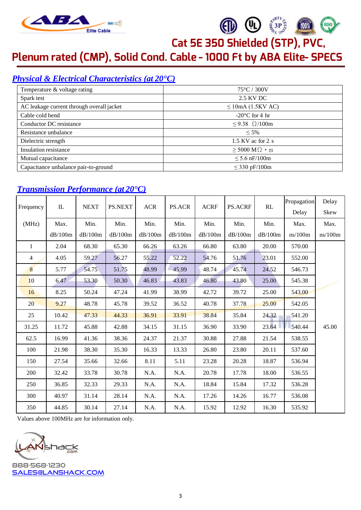

**40 40 \$3P\$** 

Plenum rated (CMP), Solid Cond. Cable - 1000 Ft by ABA Elite- SPECS

# *Physical & Electrical Characteristics (at 20°C)*

| Temperature & voltage rating              | $75^{\circ}$ C / 300V          |
|-------------------------------------------|--------------------------------|
| Spark test                                | 2.5 KV DC                      |
| AC leakage current through overall jacket | $\leq$ 10mA (1.5KV AC)         |
| Cable cold bend                           | $-20^{\circ}$ C for 4 hr       |
| Conductor DC resistance                   | $\leq$ 9.38 $\Omega$ /100m     |
| Resistance unbalance                      | $\leq 5\%$                     |
| Dielectric strength                       | $1.5$ KV ac for 2 s            |
| Insulation resistance                     | $\geq$ 5000 M $\Omega \cdot m$ |
| Mutual capacitance                        | $\leq 5.6$ nF/100m             |
| Capacitance unbalance pair-to-ground      | $\leq$ 330 pF/100m             |

# *Transmission Performance (at 20°C)*

|              |             | <b>NEXT</b> |                |            |         |             |         | RL      | Propagation | Delay   |
|--------------|-------------|-------------|----------------|------------|---------|-------------|---------|---------|-------------|---------|
| Frequency    | $_{\rm IL}$ |             | <b>PS.NEXT</b> | <b>ACR</b> | PS.ACR  | <b>ACRF</b> | PS.ACRF |         | Delay       | Skew    |
| (MHz)        | Max.        | Min.        | Min.           | Min.       | Min.    | Min.        | Min.    | Min.    | Max.        | Max.    |
|              | dB/100m     | dB/100m     | dB/100m        | dB/100m    | dB/100m | dB/100m     | dB/100m | dB/100m | ns/100m     | ns/100m |
| $\mathbf{1}$ | 2.04        | 68.30       | 65.30          | 66.26      | 63.26   | 66.80       | 63.80   | 20.00   | 570.00      |         |
| 4            | 4.05        | 59.27       | 56.27          | 55.22      | 52.22   | 54.76       | 51.76   | 23.01   | 552.00      |         |
| 8            | 5.77        | 54.75       | 51.75          | 48.99      | 45.99   | 48.74       | 45.74   | 24.52   | 546.73      |         |
| 10           | 6.47        | 53.30       | 50.30          | 46.83      | 43.83   | 46.80       | 43.80   | 25.00   | 545.38      |         |
| 16           | 8.25        | 50.24       | 47.24          | 41.99      | 38.99   | 42.72       | 39.72   | 25.00   | 543.00      |         |
| 20           | 9.27        | 48.78       | 45.78          | 39.52      | 36.52   | 40.78       | 37.78   | 25.00   | 542.05      |         |
| 25           | 10.42       | 47.33       | 44.33          | 36.91      | 33.91   | 38.84       | 35.84   | 24.32   | 541.20      |         |
| 31.25        | 11.72       | 45.88       | 42.88          | 34.15      | 31.15   | 36.90       | 33.90   | 23.64   | 540.44      | 45.00   |
| 62.5         | 16.99       | 41.36       | 38.36          | 24.37      | 21.37   | 30.88       | 27.88   | 21.54   | 538.55      |         |
| 100          | 21.98       | 38.30       | 35.30          | 16.33      | 13.33   | 26.80       | 23.80   | 20.11   | 537.60      |         |
| 150          | 27.54       | 35.66       | 32.66          | 8.11       | 5.11    | 23.28       | 20.28   | 18.87   | 536.94      |         |
| 200          | 32.42       | 33.78       | 30.78          | N.A.       | N.A.    | 20.78       | 17.78   | 18.00   | 536.55      |         |
| 250          | 36.85       | 32.33       | 29.33          | N.A.       | N.A.    | 18.84       | 15.84   | 17.32   | 536.28      |         |
| 300          | 40.97       | 31.14       | 28.14          | N.A.       | N.A.    | 17.26       | 14.26   | 16.77   | 536.08      |         |
| 350          | 44.85       | 30.14       | 27.14          | N.A.       | N.A.    | 15.92       | 12.92   | 16.30   | 535.92      |         |

Values above 100MHz are for information only.

**79CK** 

888-568-1230 [sales@lanshack.com](mailto:sales@lanshack.com)